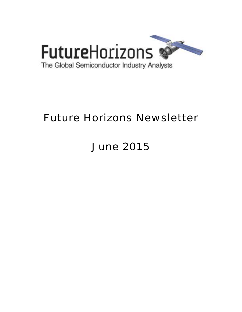

# Future Horizons Newsletter

# June 2015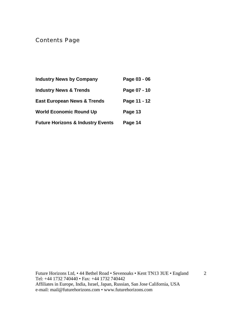# Contents Page

| <b>Industry News by Company</b>              | Page 03 - 06 |
|----------------------------------------------|--------------|
| <b>Industry News &amp; Trends</b>            | Page 07 - 10 |
| <b>East European News &amp; Trends</b>       | Page 11 - 12 |
| <b>World Economic Round Up</b>               | Page 13      |
| <b>Future Horizons &amp; Industry Events</b> | Page 14      |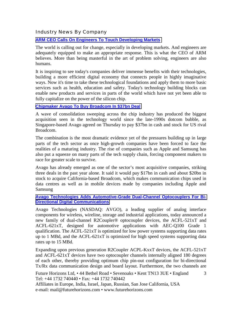#### Industry News By Company

#### **[ARM CEO Calls On Engineers To Touch Developing Markets](http://www.eetindia.co.in/ART_8800712956_1800000_NT_730f2732.HTM)**

The world is calling out for change, especially in developing markets. And engineers are adequately equipped to make an appropriate response. This is what the CEO of ARM believes. More than being masterful in the art of problem solving, engineers are also humans.

It is inspiring to see today's companies deliver immense benefits with their technologies, building a more efficient digital economy that connects people in highly imaginative ways. Now it's time to take these technological foundations and apply them to more basic services such as health, education and safety. Today's technology building blocks can enable new products and services in parts of the world which have not yet been able to fully capitalize on the power of the silicon chip.

#### **[Chipmaker Avago To Buy Broadcom In \\$37bn Deal](http://www.ft.com/cms/s/0/bd7389a6-0530-11e5-9627-00144feabdc0.html?ftcamp=crm/email/2015529/nbe/AsiaPacificBusiness/product#axzz3bn8ZwlRa)**

A wave of consolidation sweeping across the chip industry has produced the biggest acquisition seen in the technology world since the late-1990s dotcom bubble, as Singapore-based Avago agreed on Thursday to pay \$37bn in cash and stock for US rival Broadcom.

The combination is the most dramatic evidence yet of the pressures building up in large parts of the tech sector as once high-growth companies have been forced to face the realities of a maturing industry. The rise of companies such as Apple and Samsung has also put a squeeze on many parts of the tech supply chain, forcing component makers to race for greater scale to survive.

Avago has already emerged as one of the sector's most acquisitive companies, striking three deals in the past year alone. It said it would pay \$17bn in cash and about \$20bn in stock to acquire California-based Broadcom, which makes communication chips used in data centres as well as in mobile devices made by companies including Apple and Samsung

#### **[Avago Technologies Adds Automotive-Grade Dual-Channel Optocouplers For Bi-](http://www.avagotech.com/pages/en/press/automotive-grade-dual-channel-optocoupler/)[Directional Digital Communications](http://www.avagotech.com/pages/en/press/automotive-grade-dual-channel-optocoupler/)**

Avago Technologies (NASDAQ: AVGO), a leading supplier of analog interface components for wireless, wireline, storage and industrial applications, today announced a new family of dual-channel R2Coupler® optocoupler devices, the ACFL-521xT and ACFL-621xT, designed for automotive applications with AEC-Q100 Grade 1 qualification. The ACFL-521xT is optimized for low power systems supporting data rates up to 1 MBd, and the ACFL-621xT is optimized for high speed systems supporting data rates up to 15 MBd.

Expanding upon previous generation R2Coupler ACPL-KxxT devices, the ACFL-521xT and ACFL-621xT devices have two optocoupler channels internally aligned 180 degrees of each other, thereby providing optimum chip pin-out configuration for bi-directional Tx/Rx data communication design and board layout. Furthermore, the two channels are

3

Future Horizons Ltd, • 44 Bethel Road • Sevenoaks • Kent TN13 3UE • England Tel: +44 1732 740440 • Fax: +44 1732 740442 Affiliates in Europe, India, Israel, Japan, Russian, San Jose California, USA

e-mail: mail@futurehorizons.com • www.futurehorizons.com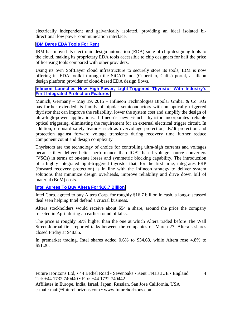electrically independent and galvanically isolated, providing an ideal isolated bidirectional low power communication interface.

#### **[IBM Bares EDA Tools For Rent](http://www.eetindia.co.in/ART_8800713168_1800000_NT_467cddc3.HTM)**

IBM has moved its electronic design automation (EDA) suite of chip-designing tools to the cloud, making its proprietary EDA tools accessible to chip designers for half the price of licensing tools compared with other providers.

Using its own SoftLayer cloud infrastructure to securely store its tools, IBM is now offering its EDA toolkit through the SiCAD Inc. (Cupertino, Calif.) portal, a silicon design platform provider of cloud-based EDA design flows.

#### **[Infineon Launches New High-Power, Light-Triggered Thyristor With Industry's](http://www.infineon.com/cms/en/about-infineon/press/press-releases/2015/INFIPC201502-058.html)  [First Integrated Protection Features](http://www.infineon.com/cms/en/about-infineon/press/press-releases/2015/INFIPC201502-058.html)**

Munich, Germany – May 19, 2015 – Infineon Technologies Bipolar GmbH & Co. KG has further extended its family of bipolar semiconductors with an optically triggered thyristor that can improve the reliability, lower the system cost and simplify the design of ultra-high-power applications. Infineon's new 6-inch thyristor incorporates reliable optical triggering, eliminating the requirement for an external electrical trigger circuit. In addition, on-board safety features such as overvoltage protection, dv/dt protection and protection against forward voltage transients during recovery time further reduce component count and design complexity.

Thyristors are the technology of choice for controlling ultra-high currents and voltages because they deliver better performance than IGBT-based voltage source converters (VSCs) in terms of on-state losses and symmetric blocking capability. The introduction of a highly integrated light-triggered thyristor that, for the first time, integrates FRP (forward recovery protection) is in line with the Infineon strategy to deliver system solutions that minimize design overheads, improve reliability and drive down bill of material (BoM) costs.

#### **[Intel Agrees To Buy Altera For \\$16.7 Billion](http://www.wsj.com/articles/intel-agrees-to-buy-altera-for-16-7-billion-1433162006?mod=djemalertDEALS)**

Intel Corp. agreed to buy Altera Corp. for roughly \$16.7 billion in cash, a long-discussed deal seen helping Intel defend a crucial business.

Altera stockholders would receive about \$54 a share, around the price the company rejected in April during an earlier round of talks.

The price is roughly 56% higher than the one at which Altera traded before The Wall Street Journal first reported talks between the companies on March 27. Altera's shares closed Friday at \$48.85.

In premarket trading, Intel shares added 0.6% to \$34.68, while Altera rose 4.8% to \$51.20.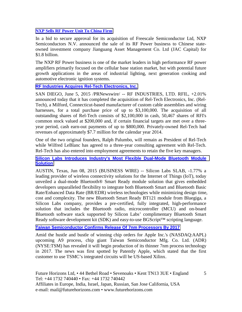#### **[NXP Sells RF Power Unit To China Firm](http://www.eetindia.co.in/ART_8800712965_1800005_NT_3367809b.HTM)**

In a bid to secure approval for its acquisition of Freescale Semiconductor Ltd, NXP Semiconductors N.V. announced the sale of its RF Power business to Chinese stateowned investment company Jianguang Asset Management Co. Ltd (JAC Capital) for \$1.8 billion.

The NXP RF Power business is one of the market leaders in high performance RF power amplifiers primarily focused on the cellular base station market, but with potential future growth applications in the areas of industrial lighting, next generation cooking and automotive electronic ignition systems.

#### **[RF Industries Acquires Rel-Tech Electronics, Inc.](http://www.marketwatch.com/story/rf-industries-acquires-rel-tech-electronics-inc-2015-06-05)**

SAN DIEGO, June 5, 2015 /PRNewswire/ -- RF INDUSTRIES, LTD. RFIL, +2.01% announced today that it has completed the acquisition of Rel-Tech Electronics, Inc. (Rel-Tech), a Milford, Connecticut-based manufacturer of custom cable assemblies and wiring harnesses, for a total purchase price of up to \$3,100,000. The acquisition of all outstanding shares of Rel-Tech consists of \$2,100,000 in cash, 50,467 shares of RFI's common stock valued at \$200,000 and, if certain financial targets are met over a threeyear period, cash earn-out payments of up to \$800,000. Privately-owned Rel-Tech had revenues of approximately \$7.7 million for the calendar year 2014.

One of the two original founders, Ralph Palumbo, will remain as President of Rel-Tech while Wilfred LeBlanc has agreed to a three-year consulting agreement with Rel-Tech. Rel-Tech has also entered into employment agreements to retain the five key managers.

#### **[Silicon Labs Introduces Industry's Most Flexible Dual-Mode Bluetooth Module](http://www.marketwatch.com/story/silicon-labs-introduces-industrys-most-flexible-dual-mode-bluetooth-module-solution-2015-06-08)  [Solution](http://www.marketwatch.com/story/silicon-labs-introduces-industrys-most-flexible-dual-mode-bluetooth-module-solution-2015-06-08)**

AUSTIN, Texas, Jun 08, 2015 (BUSINESS WIRE) -- Silicon Labs SLAB, -1.77% a leading provider of wireless connectivity solutions for the Internet of Things (IoT), today unveiled a dual-mode Bluetooth® Smart Ready module solution that gives embedded developers unparalleled flexibility to integrate both Bluetooth Smart and Bluetooth Basic Rate/Enhanced Data Rate (BR/EDR) wireless technologies while minimizing design time, cost and complexity. The new Bluetooth Smart Ready BT121 module from Bluegiga, a Silicon Labs company, provides a pre-certified, fully integrated, high-performance solution that includes the Bluetooth radio, microcontroller (MCU) and on-board Bluetooth software stack supported by Silicon Labs' complimentary Bluetooth Smart Ready software development kit (SDK) and easy-to-use BGScript™ scripting language.

#### **[Taiwan Semiconductor Confirms Release Of 7nm Processors By 2017](http://www.bidnessetc.com/44100-taiwan-semiconductor-confirms-release-of-7nm-processors-by-2017/)**

Amid the hustle and bustle of winning chip orders for Apple Inc.'s (NASDAQ:AAPL) upcoming A9 process, chip giant Taiwan Semiconductor Mfg. Co. Ltd. (ADR) (NYSE:TSM) has revealed it will begin production of its thinner 7nm process technology in 2017. The news was first spotted by Patently Apple, which stated that the first customer to use TSMC's integrated circuits will be US-based Xilinx.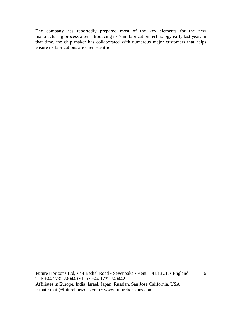The company has reportedly prepared most of the key elements for the new manufacturing process after introducing its 7nm fabrication technology early last year. In that time, the chip maker has collaborated with numerous major customers that helps ensure its fabrications are client-centric.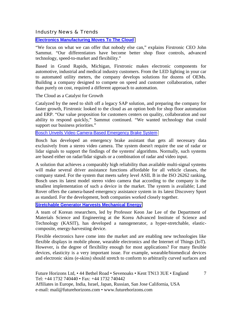Industry News & Trends

**Electronics Manufacturing Moves To The Cloud**

"We focus on what we can offer that nobody else can," explains Firstronic CEO John Sammut. "Our differentiators have become better shop floor controls, advanced technology, speed-to-market and flexibility."

Based in Grand Rapids, Michigan, Firstronic makes electronic components for automotive, industrial and medical industry customers. From the LED lighting in your car to automated utility meters, the company develops solutions for dozens of OEMs. Building a company designed to compete on speed and customer collaboration, rather than purely on cost, required a different approach to automation.

The Cloud as a Catalyst for Growth

Catalyzed by the need to shift off a legacy SAP solution, and preparing the company for faster growth, Firstronic looked to the cloud as an option both for shop floor automation and ERP. "Our value proposition for customers centers on quality, collaboration and our ability to respond quickly," Sammut continued. "We wanted technology that could support our business priorities."

#### [Bosch Unveils Video Camera-Based Emergency Brake System](http://www.eetindia.co.in/ART_8800712157_1800015_NP_e5ac4b00.HTM?click_from=8800123214,9950114561,2015-05-06,EEIOL,ARTICLE_ALERT)

Bosch has developed an emergency brake assistant that gets all necessary data exclusively from a stereo video camera. The system doesn't require the use of radar or lidar signals to support the findings of the systems' algorithms. Normally, such systems are based either on radar/lidar signals or a combination of radar and video input.

A solution that achieves a comparably high reliability than available multi-signal systems will make several driver assistance functions affordable for all vehicle classes, the company stated. For the system that meets safety level ASIL B in the ISO 26262 ranking, Bosch uses its latest model stereo video camera that according to the company is the smallest implementation of such a device in the market. The system is available; Land Rover offers the camera-based emergency assistance system in its latest Discovery Sport as standard. For the development, both companies worked closely together.

#### **[Stretchable Generator Harvests Mechanical Energy](http://www.eetindia.co.in/ART_8800712495_1800008_NT_67aefad9.HTM?click_from=8800123424,9950114561,2015-05-19,EEIOL,ARTICLE_ALERT)**

A team of Korean researchers, led by Professor Keon Jae Lee of the Department of Materials Science and Engineering at the Korea Advanced Institute of Science and Technology (KASIT), has developed a nanogenerator, a hyper-stretchable, elasticcomposite, energy-harvesting device.

Flexible electronics have come into the market and are enabling new technologies like flexible displays in mobile phone, wearable electronics and the Internet of Things (IoT). However, is the degree of flexibility enough for most applications? For many flexible devices, elasticity is a very important issue. For example, wearable/biomedical devices and electronic skins (e-skins) should stretch to conform to arbitrarily curved surfaces and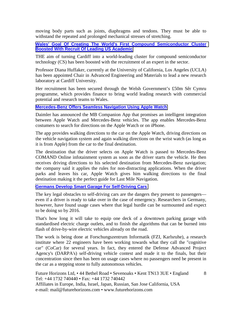moving body parts such as joints, diaphragms and tendons. They must be able to withstand the repeated and prolonged mechanical stresses of stretching.

**[Wales' Goal Of Creating The World's First Compound Semiconductor Cluster](http://www.walesonline.co.uk/business/business-news/wales-goal-creating-worlds-first-9326357)  [Boosted With Recruit Of Leading US Academic](http://www.walesonline.co.uk/business/business-news/wales-goal-creating-worlds-first-9326357)**

THE aim of turning Cardiff into a world-leading cluster for compound semiconductor technology (CS) has been boosted with the recruitment of an expert in the sector.

Professor Diana Huffaker, currently at the University of California, Los Angeles (UCLA) has been appointed Chair in Advanced Engineering and Materials to lead a new research laboratory at Cardiff University.

Her recruitment has been secured through the Welsh Government's £50m Sêr Cymru programme, which provides finance to bring world leading research with commercial potential and research teams to Wales.

#### **[Mercedes-Benz Offers Seamless Navigation Using Apple Watch](http://www.eetindia.co.in/ART_8800712526_1800001_NT_fef48c03.HTM?click_from=8800123424,9950114561,2015-05-19,EEIOL,ARTICLE_ALERT)**

Daimler has announced the MB Companion App that promises an intelligent integration between Apple Watch and Mercedes-Benz vehicles. The app enables Mercedes-Benz costumers to search for directions on the Apple Watch or on iPhone.

The app provides walking directions to the car on the Apple Watch, driving directions on the vehicle navigation system and again walking directions on the wrist watch (as long as it is from Apple) from the car to the final destination.

The destination that the driver selects on Apple Watch is passed to Mercedes-Benz COMAND Online infotainment system as soon as the driver starts the vehicle. He then receives driving directions to his selected destination from Mercedes-Benz navigation; the company said it applies the rules for non-distracting applications. When the driver parks and leaves his car, Apple Watch gives him walking directions to the final destination making it the perfect guide for Last Mile Navigation.

#### **[Germans Develop Smart Garage For Self-Driving Cars](http://www.eetindia.co.in/ART_8800712775_1800001_NT_d4e7927b.HTM?click_from=8800123690,9950114561,2015-05-26,EEIOL,ARTICLE_ALERT)**

The key legal obstacles to self-driving cars are the dangers they present to passengers even if a driver is ready to take over in the case of emergency. Researchers in Germany, however, have found usage cases where that legal hurdle can be surmounted and expect to be doing so by 2016.

That's how long it will take to equip one deck of a downtown parking garage with standardised electric charge outlets, and to finish the algorithms that can be burned into flash of drive-by-wire electric vehicles already on the road.

The work is being done at Forschungszentrum Informatik (FZI, Karlsruhe), a research institute where 22 engineers have been working towards what they call the "cognitive car" (CoCar) for several years. In fact, they entered the Defense Advanced Project Agency's (DARPA's) self-driving vehicle contest and made it to the finals, but their concentration since then has been on usage cases where no passengers need be present in the car as a stepping stone to fully autonomous vehicles.

8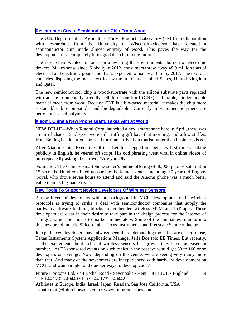#### **[Researchers Create Semiconductor Chip From Wood](http://www.forbes.com/sites/jenniferhicks/2015/05/30/researchers-create-semiconductor-chip-from-wood/)**

The U.S. Department of Agriculture Forest Products Laboratory (FPL) in collaboration with researchers from the University of Wisconsin-Madison have created a semiconductor chip made almost entirely of wood. This paves the way for the development of a completely biodegradable chip in the future.

The researchers wanted to focus on alleviating the environmental burden of electronic devices. Makes sense since Globally in 2012, consumers threw away 48.9 million tons of electrical and electronic goods and that's expected to rise by a third by 2017. The top four countries disposing the most electrical waste are China, United States, United Kingdom and Qatar.

The new semiconductor chip is wood-substrate with the silicon substrate parts replaced with an environmentally friendly cellulose nanofibril (CNF), a flexible, biodegradable material made from wood. Because CNF is a bio-based material, it makes the chip more sustainable, bio-compatible and biodegradable. Currently most other polymers are petroleum-based polymers.

#### **[Xiaomi, China's New Phone Giant, Takes Aim At World](http://www.wsj.com/articles/xiaomi-chinas-new-phone-giant-takes-aim-at-world-1433731461?tesla=y)**

NEW DELHI—When Xiaomi Corp. launched a new smartphone here in April, there was an air of chaos. Employees were still stuffing gift bags that morning, and a few staffers from Beijing headquarters, pressed for time, arrived on tourist rather than business visas.

After Xiaomi Chief Executive Officer Lei Jun stepped onstage, his first time speaking publicly in English, he veered off script. His odd phrasing went viral in online videos of him repeatedly asking the crowd, "Are you OK?"

No matter. The Chinese smartphone seller's online offering of 40,000 phones sold out in 15 seconds. Hundreds lined up outside the launch venue, including 17-year-old Raghav Goyal, who drove seven hours to attend and said the Xiaomi phone was a much better value than its big-name rivals.

#### **[New Tools To Support Novice Developers Of Wireless Sensors](http://www.eetindia.co.in/ART_8800713143_1800000_NT_91c3277d.HTM?click_from=8800123880,9950114561,2015-06-09,EEIOL,ARTICLE_ALERT)**

A new breed of developers with no background in MCU development or in wireless protocols is trying to strike a deal with semiconductor companies that supply the hardware/software building blocks for embedded wireless M2M and IoT apps. These developers are clear in their desire to take part in the design process for the Internet of Things and get their ideas to market immediately. Some of the companies running into this new breed include Silicon Labs, Texas Instruments and Freescale Semiconductor.

Inexperienced developers have always been there, demanding tools that are easier to use, Texas Instruments System Applications Manager Jarle Boe told EE Times. But recently, as the excitement about IoT and wireless sensors has grown, they have increased in number. "At TI-sponsored events on such topics in the past we would get 50 to 100 or so developers on average. Now, depending on the venue, we are seeing very many more than that. And many of the newcomers are inexperienced with hardware development on MCUs and want simpler and quicker ways to develop code."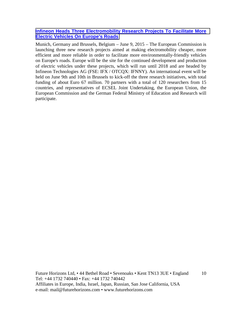#### **[Infineon Heads Three Electromobility Research Projects To Facilitate More](http://www.infineon.com/cms/en/about-infineon/press/press-releases/2015/INFXX201506-062.html)  [Electric Vehicles On Europe's Roads](http://www.infineon.com/cms/en/about-infineon/press/press-releases/2015/INFXX201506-062.html)**

Munich, Germany and Brussels, Belgium – June 9, 2015 – The European Commission is launching three new research projects aimed at making electromobility cheaper, more efficient and more reliable in order to facilitate more environmentally-friendly vehicles on Europe's roads. Europe will be the site for the continued development and production of electric vehicles under these projects, which will run until 2018 and are headed by Infineon Technologies AG (FSE: IFX / OTCQX: IFNNY). An international event will be held on June 9th and 10th in Brussels to kick-off the three research initiatives, with total funding of about Euro 67 million. 70 partners with a total of 120 researchers from 15 countries, and representatives of ECSEL Joint Undertaking, the European Union, the European Commission and the German Federal Ministry of Education and Research will participate.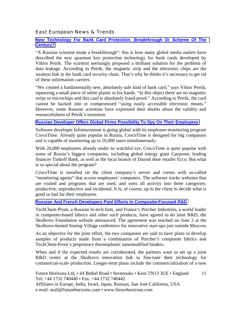#### East European News & Trends

#### **[New Technology For Bank Card Protection: Breakthrough Or Scheme Of The](http://rbth.com/science_and_tech/2015/05/26/new_technology_for_bank_card_protection_breakthrough_or_sche_46359.html)  [Century?](http://rbth.com/science_and_tech/2015/05/26/new_technology_for_bank_card_protection_breakthrough_or_sche_46359.html)**

"A Russian scientist made a breakthrough": this is how many global media outlets have described the new quantum key protection technology for bank cards developed by Viktor Petrik. The scientist seemingly proposed a brilliant solution for the problem of data leakage. According to Petrik, the magnetic strip and the electronic chips are the weakest link in the bank card security chain. That's why he thinks it's necessary to get rid of these information carriers.

"We created a fundamentally new, absolutely safe kind of bank card," says Viktor Petrik, squeezing a small piece of white plastic in his hands. "In this object there are no magnetic strips or microchips and this card is absolutely fraud-proof." According to Petrik, the card cannot be hacked into or compromised "using easily accessible electronic means." However, some Russian scientists have expressed their doubts about the validity and resourcefulness of Petrik's invention.

#### **[Russian Developer Offers Global Firms Possibility To Spy On Their Employees](http://rbth.com/science_and_tech/2015/04/05/russian_developer_offers_global_firms_possibility_to_spy_on_45601.html)**

Software developer Infomaximum is going global with its employee-monitoring program CrocoTime. Already quite popular in Russia, CrocoTime is designed for big companies and is capable of monitoring up to 10,000 users simultaneously.

With 20,000 employees already under its watchful eye, CrocoTime is quite popular with some of Russia's biggest companies, including global energy giant Gazprom, leading financer Tinkoff Bank, as well as the local branch of Danish shoe retailer Ecco. But what is so special about the program?

CrocoTime is installed on the client company's server and comes with so-called "monitoring agents" that access employees' computers. The software tracks websites that are visited and programs that are used, and sorts all activity into three categories: productive, unproductive and incidental. It is, of course, up to the client to decide what is good or bad for their employees.

#### **[Russian And French Developers Pool Efforts In Composite-Focused R&D](http://www.marchmontnews.com/Finance-Business/Central-regions/21292-Russian-and-French-developers-pool-efforts-composite-focused-RD.html)**

TechChem-Prom, a Russian hi-tech firm, and France's Porcher Industries, a world leader in composite-based fabrics and other such products, have agreed to do joint R&D, the Skolkovo Foundation website announced. The agreement was reached on June 2 at the Skolkovo-hosted Startup Village conference for innovative start-ups just outside Moscow.

As an objective for the joint effort, the two companies are said to have plans to develop samples of products made from a combination of Porcher's composite fabrics and TechChem-Prom's proprietary thermoplastic nanomodified binders.

When and if the expected results are corroborated, the partners want to set up a joint R&D center at the Skolkovo innovation hub to fine-tune their technology for commercial-scale production. Longer-term plans include the commercialization of a new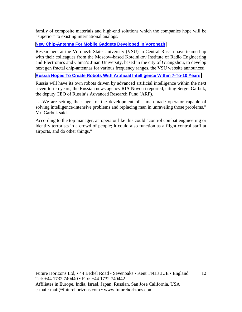family of composite materials and high-end solutions which the companies hope will be "superior" to existing international analogs.

#### **[New Chip-Antenna For Mobile Gadgets Developed In Voronezh](http://www.marchmontnews.com/Telecoms-Media/Central-regions/21270-New-chip-antenna-for-mobile-gadgets-developed-Voronezh.html)**

Researchers at the Voronezh State University (VSU) in Central Russia have teamed up with their colleagues from the Moscow-based Kotelnikov Institute of Radio Engineering and Electronics and China's Jinan University, based in the city of Guangzhou, to develop next gen fractal chip-antennas for various frequency ranges, the VSU website announced.

#### **[Russia Hopes To Create Robots With Artificial Intelligence Within 7-To-10 Years](http://www.marchmontnews.com/Technology-Innovation/Central-regions/21288-Russia-hopes-create-robots-with-artificial-intelligence-within-7-to-10-years.html)**

Russia will have its own robots driven by advanced artificial intelligence within the next seven-to-ten years, the Russian news agency RIA Novosti reported, citing Sergei Garbuk, the deputy CEO of Russia's Advanced Research Fund (ARF).

"…We are setting the stage for the development of a man-made operator capable of solving intelligence-intensive problems and replacing man in unraveling those problems," Mr. Garbuk said.

According to the top manager, an operator like this could "control combat engineering or identify terrorists in a crowd of people; it could also function as a flight control staff at airports, and do other things."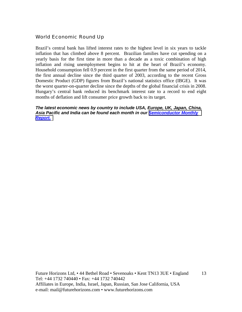#### World Economic Round Up

Brazil's central bank has lifted interest rates to the highest level in six years to tackle inflation that has climbed above 8 percent. Brazilian families have cut spending on a yearly basis for the first time in more than a decade as a toxic combination of high inflation and rising unemployment begins to hit at the heart of Brazil's economy. Household consumption fell 0.9 percent in the first quarter from the same period of 2014, the first annual decline since the third quarter of 2003, according to the recent Gross Domestic Product (GDP) figures from Brazil's national statistics office (IBGE). It was the worst quarter-on-quarter decline since the depths of the global financial crisis in 2008. Hungary's central bank reduced its benchmark interest rate to a record to end eight months of deflation and lift consumer price growth back to its target.

#### *The latest economic news by country to include USA, Europe, UK, Japan, China, Asia Pacific and India can be found each month in our [Semiconductor Monthly](http://www.futurehorizons.com/page/18/Global-Semiconductor-Report)  [Report.](http://www.futurehorizons.com/page/18/Global-Semiconductor-Report)*